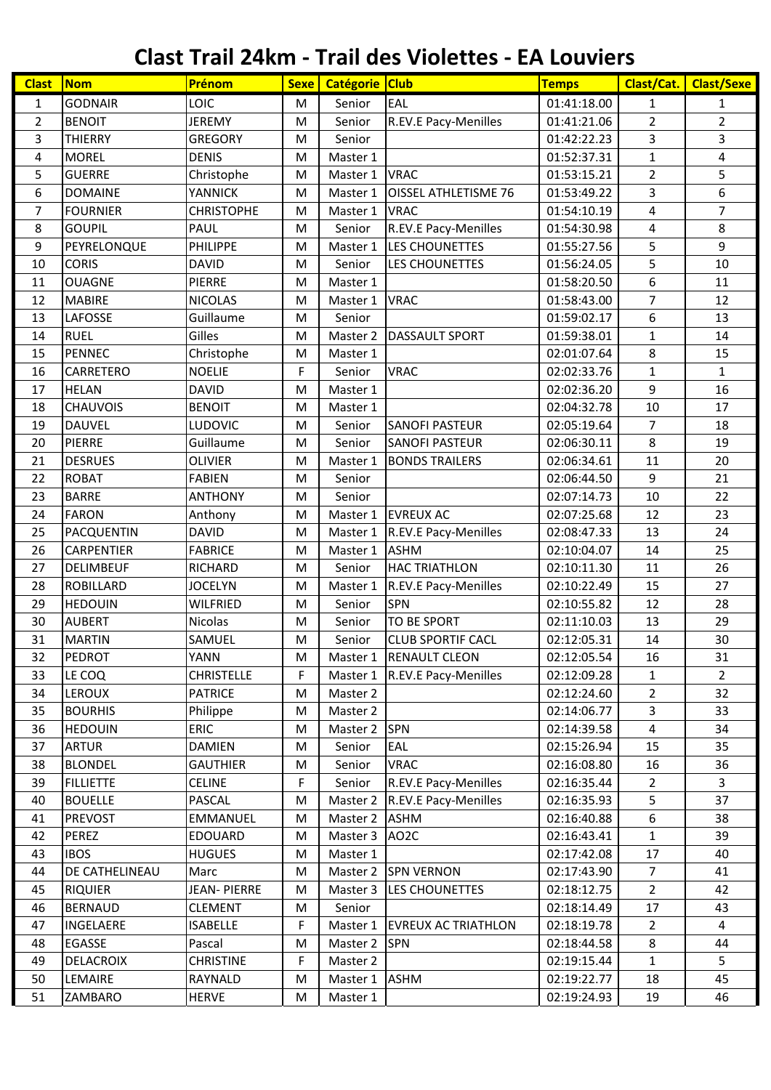## **Clast Trail 24km - Trail des Violettes - EA Louviers**

| <b>Clast</b>   | <b>Nom</b>       | Prénom             | <b>Sexe</b> | Catégorie Club |                             | <b>Temps</b> | Clast/Cat.     | <b>Clast/Sexe</b> |
|----------------|------------------|--------------------|-------------|----------------|-----------------------------|--------------|----------------|-------------------|
| 1              | <b>GODNAIR</b>   | LOIC               | M           | Senior         | EAL                         | 01:41:18.00  | 1              | 1                 |
| $\overline{2}$ | <b>BENOIT</b>    | <b>JEREMY</b>      | M           | Senior         | R.EV.E Pacy-Menilles        | 01:41:21.06  | $\overline{2}$ | $\overline{2}$    |
| 3              | <b>THIERRY</b>   | <b>GREGORY</b>     | M           | Senior         |                             | 01:42:22.23  | 3              | 3                 |
| 4              | <b>MOREL</b>     | <b>DENIS</b>       | M           | Master 1       |                             | 01:52:37.31  | $\mathbf 1$    | 4                 |
| 5              | <b>GUERRE</b>    | Christophe         | M           | Master 1       | <b>VRAC</b>                 | 01:53:15.21  | $\overline{2}$ | 5                 |
| 6              | <b>DOMAINE</b>   | <b>YANNICK</b>     | M           | Master 1       | <b>OISSEL ATHLETISME 76</b> | 01:53:49.22  | 3              | 6                 |
| 7              | <b>FOURNIER</b>  | <b>CHRISTOPHE</b>  | M           | Master 1       | <b>VRAC</b>                 | 01:54:10.19  | 4              | $\overline{7}$    |
| 8              | <b>GOUPIL</b>    | PAUL               | M           | Senior         | R.EV.E Pacy-Menilles        | 01:54:30.98  | 4              | 8                 |
| 9              | PEYRELONQUE      | PHILIPPE           | M           | Master 1       | LES CHOUNETTES              | 01:55:27.56  | 5              | 9                 |
| 10             | <b>CORIS</b>     | <b>DAVID</b>       | M           | Senior         | LES CHOUNETTES              | 01:56:24.05  | 5              | 10                |
| 11             | <b>OUAGNE</b>    | <b>PIERRE</b>      | M           | Master 1       |                             | 01:58:20.50  | 6              | 11                |
| 12             | <b>MABIRE</b>    | <b>NICOLAS</b>     | M           | Master 1       | <b>VRAC</b>                 | 01:58:43.00  | $\overline{7}$ | 12                |
| 13             | LAFOSSE          | Guillaume          | M           | Senior         |                             | 01:59:02.17  | 6              | 13                |
| 14             | <b>RUEL</b>      | Gilles             | M           | Master 2       | <b>DASSAULT SPORT</b>       | 01:59:38.01  | $\mathbf{1}$   | 14                |
| 15             | <b>PENNEC</b>    | Christophe         | M           | Master 1       |                             | 02:01:07.64  | 8              | 15                |
| 16             | CARRETERO        | <b>NOELIE</b>      | F           | Senior         | <b>VRAC</b>                 | 02:02:33.76  | $\mathbf{1}$   | $\mathbf{1}$      |
| 17             | <b>HELAN</b>     | <b>DAVID</b>       | M           | Master 1       |                             | 02:02:36.20  | 9              | 16                |
| 18             | <b>CHAUVOIS</b>  | <b>BENOIT</b>      | M           | Master 1       |                             | 02:04:32.78  | 10             | 17                |
| 19             | <b>DAUVEL</b>    | LUDOVIC            | M           | Senior         | <b>SANOFI PASTEUR</b>       | 02:05:19.64  | $\overline{7}$ | 18                |
| 20             | <b>PIERRE</b>    | Guillaume          | M           | Senior         | <b>SANOFI PASTEUR</b>       | 02:06:30.11  | 8              | 19                |
| 21             | <b>DESRUES</b>   | <b>OLIVIER</b>     | M           | Master 1       | <b>BONDS TRAILERS</b>       | 02:06:34.61  | 11             | 20                |
| 22             | <b>ROBAT</b>     | <b>FABIEN</b>      | M           | Senior         |                             | 02:06:44.50  | 9              | 21                |
| 23             | <b>BARRE</b>     | <b>ANTHONY</b>     | M           | Senior         |                             | 02:07:14.73  | 10             | 22                |
| 24             | <b>FARON</b>     | Anthony            | M           | Master 1       | <b>EVREUX AC</b>            | 02:07:25.68  | 12             | 23                |
| 25             | PACQUENTIN       | <b>DAVID</b>       | M           | Master 1       | R.EV.E Pacy-Menilles        | 02:08:47.33  | 13             | 24                |
| 26             | CARPENTIER       | <b>FABRICE</b>     | M           | Master 1       | <b>ASHM</b>                 | 02:10:04.07  | 14             | 25                |
| 27             | <b>DELIMBEUF</b> | RICHARD            | M           | Senior         | <b>HAC TRIATHLON</b>        | 02:10:11.30  | 11             | 26                |
| 28             | <b>ROBILLARD</b> | <b>JOCELYN</b>     | M           | Master 1       | R.EV.E Pacy-Menilles        | 02:10:22.49  | 15             | 27                |
| 29             | <b>HEDOUIN</b>   | <b>WILFRIED</b>    | M           | Senior         | SPN                         | 02:10:55.82  | 12             | 28                |
| 30             | <b>AUBERT</b>    | Nicolas            | M           | Senior         | <b>TO BE SPORT</b>          | 02:11:10.03  | 13             | 29                |
| 31             | <b>MARTIN</b>    | SAMUEL             | M           | Senior         | <b>CLUB SPORTIF CACL</b>    | 02:12:05.31  | 14             | 30                |
| 32             | PEDROT           | <b>YANN</b>        | М           |                | Master 1 RENAULT CLEON      | 02:12:05.54  | 16             | 31                |
| 33             | LE COQ           | <b>CHRISTELLE</b>  | F           | Master 1       | R.EV.E Pacy-Menilles        | 02:12:09.28  | 1              | $\overline{2}$    |
| 34             | <b>LEROUX</b>    | <b>PATRICE</b>     | M           | Master 2       |                             | 02:12:24.60  | $\overline{2}$ | 32                |
| 35             | <b>BOURHIS</b>   | Philippe           | M           | Master 2       |                             | 02:14:06.77  | 3              | 33                |
| 36             | <b>HEDOUIN</b>   | <b>ERIC</b>        | M           | Master 2       | SPN                         | 02:14:39.58  | 4              | 34                |
| 37             | <b>ARTUR</b>     | <b>DAMIEN</b>      | M           | Senior         | EAL                         | 02:15:26.94  | 15             | 35                |
| 38             | <b>BLONDEL</b>   | <b>GAUTHIER</b>    | M           | Senior         | <b>VRAC</b>                 | 02:16:08.80  | 16             | 36                |
| 39             | <b>FILLIETTE</b> | <b>CELINE</b>      | F           | Senior         | R.EV.E Pacy-Menilles        | 02:16:35.44  | $\overline{2}$ | 3                 |
| 40             | <b>BOUELLE</b>   | PASCAL             | M           | Master 2       | <b>R.EV.E Pacy-Menilles</b> | 02:16:35.93  | 5              | 37                |
| 41             | <b>PREVOST</b>   | EMMANUEL           | M           | Master 2       | <b>ASHM</b>                 | 02:16:40.88  | 6              | 38                |
| 42             | <b>PEREZ</b>     | <b>EDOUARD</b>     | M           | Master 3 AO2C  |                             | 02:16:43.41  | 1              | 39                |
| 43             | <b>IBOS</b>      | <b>HUGUES</b>      | M           | Master 1       |                             | 02:17:42.08  | 17             | 40                |
| 44             | DE CATHELINEAU   | Marc               | М           | Master 2       | <b>SPN VERNON</b>           | 02:17:43.90  | $\overline{7}$ | 41                |
| 45             | <b>RIQUIER</b>   | <b>JEAN-PIERRE</b> | M           | Master 3       | LES CHOUNETTES              | 02:18:12.75  | $\overline{2}$ | 42                |
| 46             | <b>BERNAUD</b>   | <b>CLEMENT</b>     | М           | Senior         |                             | 02:18:14.49  | 17             | 43                |
| 47             | INGELAERE        | ISABELLE           | F           | Master 1       | <b>EVREUX AC TRIATHLON</b>  | 02:18:19.78  | 2              | 4                 |
| 48             | EGASSE           | Pascal             | M           | Master 2       | <b>SPN</b>                  | 02:18:44.58  | 8              | 44                |
| 49             | DELACROIX        | <b>CHRISTINE</b>   | F           | Master 2       |                             | 02:19:15.44  | 1              | 5                 |
| 50             | LEMAIRE          | RAYNALD            | M           | Master 1       | <b>ASHM</b>                 | 02:19:22.77  | 18             | 45                |
| 51             | ZAMBARO          | <b>HERVE</b>       | M           | Master 1       |                             | 02:19:24.93  | 19             | 46                |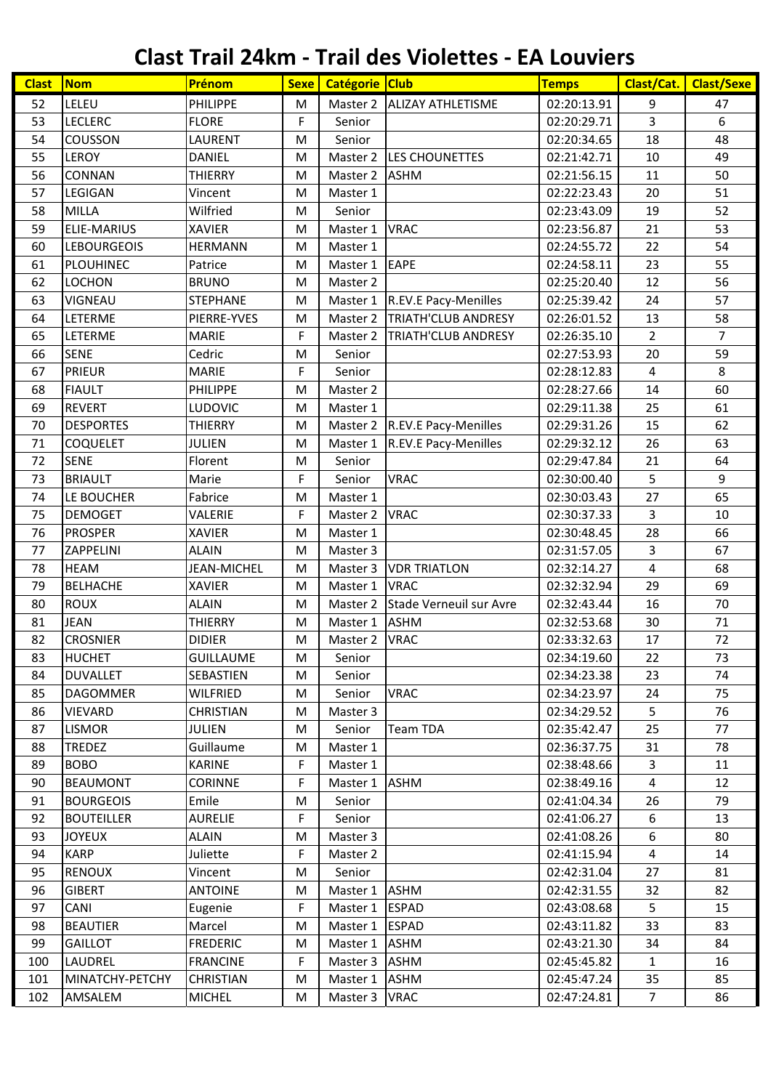## **Clast Trail 24km - Trail des Violettes - EA Louviers**

| <b>Clast</b> | <b>Nom</b>         | Prénom           | <b>Sexe</b> | Catégorie Club |                            | <b>Temps</b> | Clast/Cat.              | <b>Clast/Sexe</b> |
|--------------|--------------------|------------------|-------------|----------------|----------------------------|--------------|-------------------------|-------------------|
| 52           | LELEU              | PHILIPPE         | M           | Master 2       | <b>ALIZAY ATHLETISME</b>   | 02:20:13.91  | 9                       | 47                |
| 53           | <b>LECLERC</b>     | <b>FLORE</b>     | F           | Senior         |                            | 02:20:29.71  | 3                       | 6                 |
| 54           | <b>COUSSON</b>     | LAURENT          | M           | Senior         |                            | 02:20:34.65  | 18                      | 48                |
| 55           | LEROY              | <b>DANIEL</b>    | M           | Master 2       | LES CHOUNETTES             | 02:21:42.71  | 10                      | 49                |
| 56           | CONNAN             | <b>THIERRY</b>   | M           | Master 2       | <b>ASHM</b>                | 02:21:56.15  | 11                      | 50                |
| 57           | LEGIGAN            | Vincent          | M           | Master 1       |                            | 02:22:23.43  | 20                      | 51                |
| 58           | MILLA              | Wilfried         | M           | Senior         |                            | 02:23:43.09  | 19                      | 52                |
| 59           | ELIE-MARIUS        | <b>XAVIER</b>    | M           | Master 1       | <b>VRAC</b>                | 02:23:56.87  | 21                      | 53                |
| 60           | <b>LEBOURGEOIS</b> | <b>HERMANN</b>   | M           | Master 1       |                            | 02:24:55.72  | 22                      | 54                |
| 61           | PLOUHINEC          | Patrice          | M           | Master 1       | <b>EAPE</b>                | 02:24:58.11  | 23                      | 55                |
| 62           | <b>LOCHON</b>      | <b>BRUNO</b>     | M           | Master 2       |                            | 02:25:20.40  | 12                      | 56                |
| 63           | <b>VIGNEAU</b>     | <b>STEPHANE</b>  | M           | Master 1       | R.EV.E Pacy-Menilles       | 02:25:39.42  | 24                      | 57                |
| 64           | LETERME            | PIERRE-YVES      | M           | Master 2       | <b>TRIATH'CLUB ANDRESY</b> | 02:26:01.52  | 13                      | 58                |
| 65           | LETERME            | <b>MARIE</b>     | F           | Master 2       | <b>TRIATH'CLUB ANDRESY</b> | 02:26:35.10  | $\overline{2}$          | $\overline{7}$    |
| 66           | <b>SENE</b>        | Cedric           | M           | Senior         |                            | 02:27:53.93  | 20                      | 59                |
| 67           | <b>PRIEUR</b>      | <b>MARIE</b>     | F           | Senior         |                            | 02:28:12.83  | 4                       | 8                 |
| 68           | <b>FIAULT</b>      | <b>PHILIPPE</b>  | M           | Master 2       |                            | 02:28:27.66  | 14                      | 60                |
| 69           | <b>REVERT</b>      | LUDOVIC          | M           | Master 1       |                            | 02:29:11.38  | 25                      | 61                |
| 70           | <b>DESPORTES</b>   | <b>THIERRY</b>   | M           | Master 2       | R.EV.E Pacy-Menilles       | 02:29:31.26  | 15                      | 62                |
| 71           | <b>COQUELET</b>    | JULIEN           | M           | Master 1       | R.EV.E Pacy-Menilles       | 02:29:32.12  | 26                      | 63                |
| 72           | <b>SENE</b>        | Florent          | M           | Senior         |                            | 02:29:47.84  | 21                      | 64                |
| 73           | <b>BRIAULT</b>     | Marie            | F           | Senior         | <b>VRAC</b>                | 02:30:00.40  | 5                       | 9                 |
| 74           | LE BOUCHER         | Fabrice          | M           | Master 1       |                            | 02:30:03.43  | 27                      | 65                |
| 75           | <b>DEMOGET</b>     | VALERIE          | F           | Master 2       | <b>VRAC</b>                | 02:30:37.33  | 3                       | 10                |
| 76           | <b>PROSPER</b>     | <b>XAVIER</b>    | M           | Master 1       |                            | 02:30:48.45  | 28                      | 66                |
| 77           | ZAPPELINI          | <b>ALAIN</b>     | M           | Master 3       |                            | 02:31:57.05  | 3                       | 67                |
| 78           | <b>HEAM</b>        | JEAN-MICHEL      | M           | Master 3       | <b>VDR TRIATLON</b>        | 02:32:14.27  | $\overline{\mathbf{4}}$ | 68                |
| 79           | <b>BELHACHE</b>    | <b>XAVIER</b>    | M           | Master 1       | <b>VRAC</b>                | 02:32:32.94  | 29                      | 69                |
| 80           | <b>ROUX</b>        | <b>ALAIN</b>     | M           | Master 2       | Stade Verneuil sur Avre    | 02:32:43.44  | 16                      | 70                |
| 81           | <b>JEAN</b>        | <b>THIERRY</b>   | M           | Master 1       | <b>ASHM</b>                | 02:32:53.68  | 30                      | 71                |
| 82           | <b>CROSNIER</b>    | <b>DIDIER</b>    | M           | Master 2       | <b>VRAC</b>                | 02:33:32.63  | 17                      | 72                |
| 83           | <b>HUCHET</b>      | <b>GUILLAUME</b> | M           | Senior         |                            | 02:34:19.60  | 22                      | 73                |
| 84           | <b>DUVALLET</b>    | SEBASTIEN        | M           | Senior         |                            | 02:34:23.38  | 23                      | 74                |
| 85           | DAGOMMER           | <b>WILFRIED</b>  | M           | Senior         | <b>VRAC</b>                | 02:34:23.97  | 24                      | 75                |
| 86           | VIEVARD            | <b>CHRISTIAN</b> | M           | Master 3       |                            | 02:34:29.52  | 5                       | 76                |
| 87           | <b>LISMOR</b>      | <b>JULIEN</b>    | M           | Senior         | <b>Team TDA</b>            | 02:35:42.47  | 25                      | 77                |
| 88           | <b>TREDEZ</b>      | Guillaume        | M           | Master 1       |                            | 02:36:37.75  | 31                      | 78                |
| 89           | <b>BOBO</b>        | <b>KARINE</b>    | F.          | Master 1       |                            | 02:38:48.66  | 3                       | 11                |
| 90           | <b>BEAUMONT</b>    | <b>CORINNE</b>   | F           | Master 1       | <b>ASHM</b>                | 02:38:49.16  | 4                       | 12                |
| 91           | <b>BOURGEOIS</b>   | Emile            | M           | Senior         |                            | 02:41:04.34  | 26                      | 79                |
| 92           | <b>BOUTEILLER</b>  | <b>AURELIE</b>   | F           | Senior         |                            | 02:41:06.27  | 6                       | 13                |
| 93           | <b>JOYEUX</b>      | <b>ALAIN</b>     | M           | Master 3       |                            | 02:41:08.26  | 6                       | 80                |
| 94           | <b>KARP</b>        | Juliette         | F.          | Master 2       |                            | 02:41:15.94  | $\overline{4}$          | 14                |
| 95           | <b>RENOUX</b>      | Vincent          | M           | Senior         |                            | 02:42:31.04  | 27                      | 81                |
| 96           | <b>GIBERT</b>      | <b>ANTOINE</b>   | M           | Master 1       | <b>ASHM</b>                | 02:42:31.55  | 32                      | 82                |
| 97           | CANI               | Eugenie          | F           | Master 1       | <b>ESPAD</b>               | 02:43:08.68  | 5                       | 15                |
| 98           | <b>BEAUTIER</b>    | Marcel           | M           | Master 1       | ESPAD                      | 02:43:11.82  | 33                      | 83                |
| 99           | <b>GAILLOT</b>     | <b>FREDERIC</b>  | M           | Master 1       | <b>ASHM</b>                | 02:43:21.30  | 34                      | 84                |
| 100          | LAUDREL            | <b>FRANCINE</b>  | F           | Master 3       | <b>ASHM</b>                | 02:45:45.82  | $\mathbf{1}$            | 16                |
| 101          | MINATCHY-PETCHY    | <b>CHRISTIAN</b> | M           | Master 1       | <b>ASHM</b>                | 02:45:47.24  | 35                      | 85                |
| 102          | AMSALEM            | <b>MICHEL</b>    | M           | Master 3       | <b>VRAC</b>                | 02:47:24.81  | $\overline{7}$          | 86                |